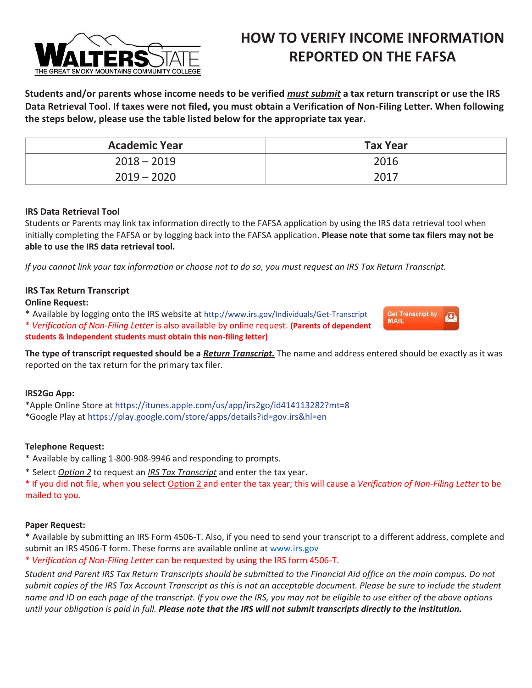

# **HOW TO VERIFY INCOME INFORMATION REPORTED ON THE FAFSA**

**Students and/or parents whose income needs to be verified** *must submit* **a tax return transcript or use the IRS Data Retrieval Tool. If taxes were not filed, you must obtain a Verification of Non-Filing Letter. When following the steps below, please use the table listed below for the appropriate tax year.**

| <b>Academic Year</b> | <b>Tax Year</b> |
|----------------------|-----------------|
| $2018 - 2019$        | 2016            |
| $2019 - 2020$        | 2017            |

### **IRS Data Retrieval Tool**

Students or Parents may link tax information directly to the FAFSA application by using the IRS data retrieval tool when initially completing the FAFSA or by logging back into the FAFSA application. **Please note that some tax filers may not be able to use the IRS data retrieval tool.**

*If you cannot link your tax information or choose not to do so, you must request an IRS Tax Return Transcript.*

### **IRS Tax Return Transcript**

### **Online Request:**

\* Available by logging onto the IRS website at http://www.irs.gov/Individuals/Get-Transcrip[t](https://sa1.www4.irs.gov/irfof-tra/start.do)

\* *Verification of Non-Filing Letter* is also available by online request. **(Parents of dependent**

**students & independent students must obtain this non-filing letter)**

**The type of transcript requested should be a** *Return Transcript.* The name and address entered should be exactly as it was reported on the tax return for the primary tax filer.

### **IRS2Go App:**

\*Apple Online Store at https://itunes.apple.com/us/app/irs2go/id414113282?mt=8 \*Google Play at https://play.google.com/store/apps/details?id=gov.irs&hl=en

### **Telephone Request:**

\* Available by calling 1-800-908-9946 and responding to prompts.

\* Select *Option 2* to request an *IRS Tax Transcript* and enter the tax year.

\* If you did not file, when you select Option 2 and enter the tax year; this will cause a *Verification of Non-Filing Letter* to be mailed to you.

#### **Paper Request:**

\* Available by submitting an IRS Form 4506-T. Also, if you need to send your transcript to a different address, complete and submit an IRS 4506-T form. These forms are available online at [www.irs.gov](http://www.irs.gov/)

\* *Verification of Non-Filing Letter* can be requested by using the IRS form 4506-T.

*Student and Parent IRS Tax Return Transcripts should be submitted to the Financial Aid office on the main campus. Do not submit copies of the IRS Tax Account Transcript as this is not an acceptable document. Please be sure to include the student name and ID on each page of the transcript. If you owe the IRS, you may not be eligible to use either of the above options until your obligation is paid in full. Please note that the IRS will not submit transcripts directly to the institution.*